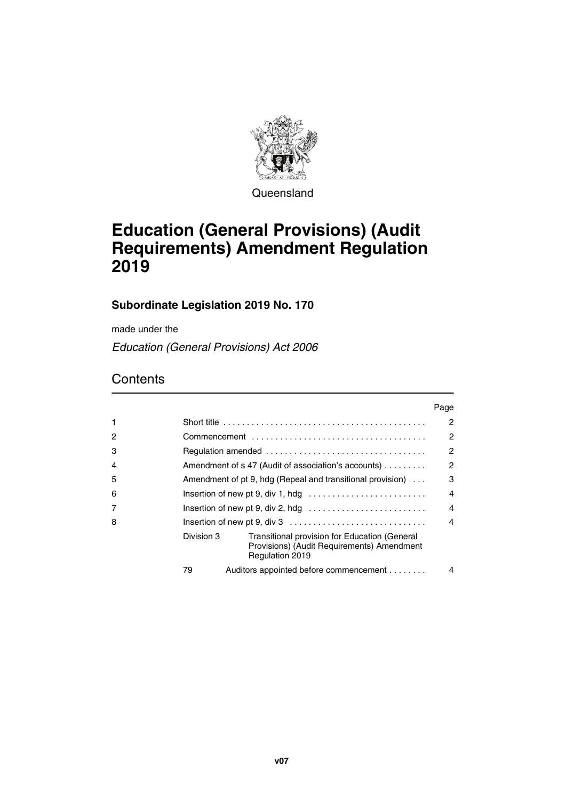

**Queensland** 

# **Education (General Provisions) (Audit Requirements) Amendment Regulation 2019**

## **Subordinate Legislation 2019 No. 170**

made under the

*Education (General Provisions) Act 2006*

## **Contents**

|   |                                                                                            |                                                                                                                | Page                   |
|---|--------------------------------------------------------------------------------------------|----------------------------------------------------------------------------------------------------------------|------------------------|
| 1 | Short title $\ldots \ldots \ldots \ldots \ldots \ldots \ldots \ldots \ldots \ldots \ldots$ |                                                                                                                |                        |
| 2 |                                                                                            |                                                                                                                |                        |
| 3 | $\overline{2}$                                                                             |                                                                                                                |                        |
| 4 | $\mathcal{P}$<br>Amendment of s 47 (Audit of association's accounts)                       |                                                                                                                |                        |
| 5 | 3<br>Amendment of pt 9, hdg (Repeal and transitional provision)                            |                                                                                                                |                        |
| 6 |                                                                                            |                                                                                                                |                        |
| 7 | Insertion of new pt 9, div 2, hdg                                                          |                                                                                                                |                        |
| 8 |                                                                                            |                                                                                                                | $\boldsymbol{\Lambda}$ |
|   | Division 3                                                                                 | Transitional provision for Education (General<br>Provisions) (Audit Requirements) Amendment<br>Regulation 2019 |                        |
|   | 79                                                                                         | Auditors appointed before commencement                                                                         | 4                      |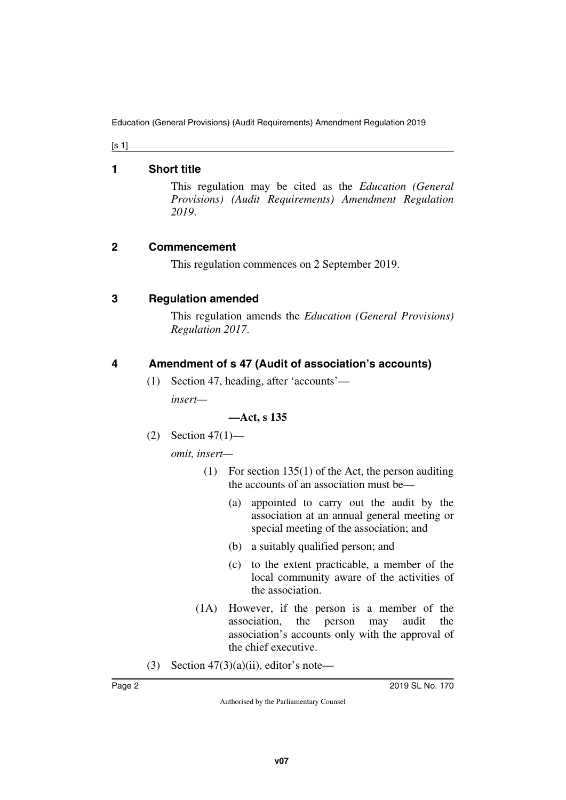[s 1]

#### <span id="page-1-0"></span>**1 Short title**

<span id="page-1-1"></span>This regulation may be cited as the *Education (General Provisions) (Audit Requirements) Amendment Regulation 2019*.

## <span id="page-1-2"></span>**2 Commencement**

<span id="page-1-3"></span>This regulation commences on 2 September 2019.

## <span id="page-1-4"></span>**3 Regulation amended**

<span id="page-1-5"></span>This regulation amends the *Education (General Provisions) Regulation 2017*.

## <span id="page-1-6"></span>**4 Amendment of s 47 (Audit of association's accounts)**

<span id="page-1-7"></span>(1) Section 47, heading, after 'accounts'—

*insert—*

#### **—Act, s 135**

(2) Section 47(1)—

*omit, insert—*

- (1) For section 135(1) of the Act, the person auditing the accounts of an association must be—
	- (a) appointed to carry out the audit by the association at an annual general meeting or special meeting of the association; and
	- (b) a suitably qualified person; and
	- (c) to the extent practicable, a member of the local community aware of the activities of the association.
- (1A) However, if the person is a member of the association, the person may audit the association's accounts only with the approval of the chief executive.
- (3) Section  $47(3)(a)(ii)$ , editor's note—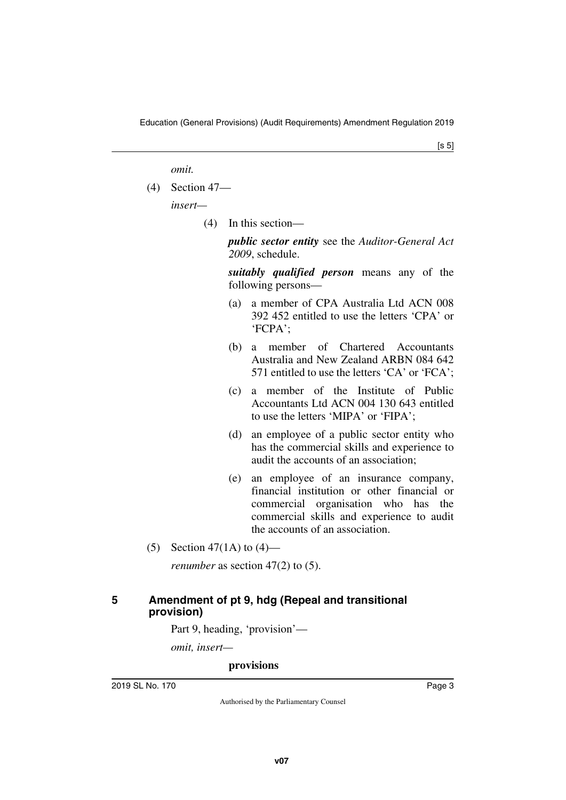*omit.*

(4) Section 47—

*insert—*

(4) In this section—

*public sector entity* see the *Auditor-General Act 2009*, schedule.

*suitably qualified person* means any of the following persons—

- (a) a member of CPA Australia Ltd ACN 008 392 452 entitled to use the letters 'CPA' or 'FCPA';
- (b) a member of Chartered Accountants Australia and New Zealand ARBN 084 642 571 entitled to use the letters 'CA' or 'FCA';
- (c) a member of the Institute of Public Accountants Ltd ACN 004 130 643 entitled to use the letters 'MIPA' or 'FIPA';
- (d) an employee of a public sector entity who has the commercial skills and experience to audit the accounts of an association;
- (e) an employee of an insurance company, financial institution or other financial or commercial organisation who has the commercial skills and experience to audit the accounts of an association.
- (5) Section 47(1A) to  $(4)$ —

<span id="page-2-1"></span>*renumber* as section 47(2) to (5).

### <span id="page-2-0"></span>**5 Amendment of pt 9, hdg (Repeal and transitional provision)**

Part 9, heading, 'provision'—

*omit, insert—*

#### **provisions**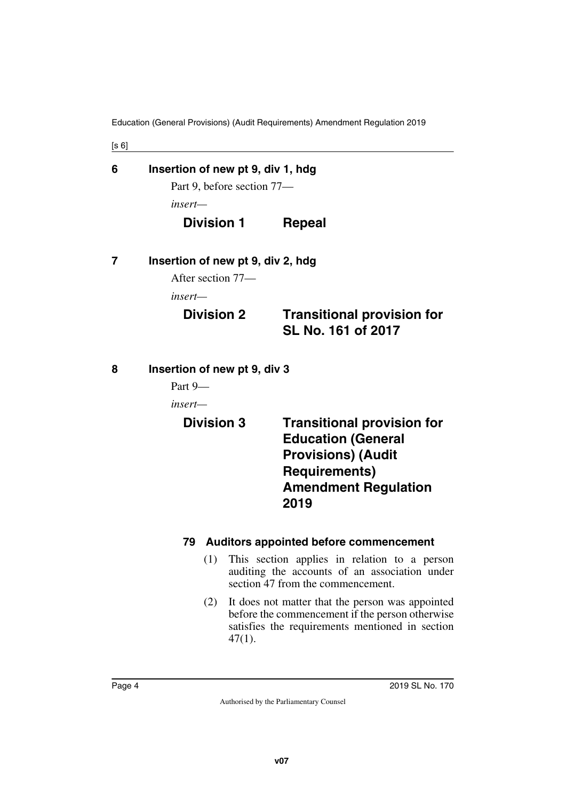<span id="page-3-5"></span><span id="page-3-4"></span><span id="page-3-3"></span><span id="page-3-2"></span><span id="page-3-1"></span><span id="page-3-0"></span>

| [s 6] |                                   |                                                                                                                                                            |  |  |  |
|-------|-----------------------------------|------------------------------------------------------------------------------------------------------------------------------------------------------------|--|--|--|
| 6     | Insertion of new pt 9, div 1, hdg |                                                                                                                                                            |  |  |  |
|       | Part 9, before section 77-        |                                                                                                                                                            |  |  |  |
|       | insert—                           |                                                                                                                                                            |  |  |  |
|       | <b>Division 1</b>                 | <b>Repeal</b>                                                                                                                                              |  |  |  |
| 7     | Insertion of new pt 9, div 2, hdg |                                                                                                                                                            |  |  |  |
|       | After section 77—                 |                                                                                                                                                            |  |  |  |
|       | insert—                           |                                                                                                                                                            |  |  |  |
|       | <b>Division 2</b>                 | <b>Transitional provision for</b><br>SL No. 161 of 2017                                                                                                    |  |  |  |
| 8     | Insertion of new pt 9, div 3      |                                                                                                                                                            |  |  |  |
|       | Part 9-                           |                                                                                                                                                            |  |  |  |
|       | insert—                           |                                                                                                                                                            |  |  |  |
|       | <b>Division 3</b>                 | <b>Transitional provision for</b><br><b>Education (General</b><br><b>Provisions) (Audit</b><br><b>Requirements)</b><br><b>Amendment Regulation</b><br>2019 |  |  |  |
|       | 79                                | <b>Auditors appointed before commencement</b>                                                                                                              |  |  |  |
|       | (1)                               | This section applies in relation to a person<br>auditing the accounts of an association under<br>section 47 from the commencement.                         |  |  |  |
|       | (2)                               | It does not matter that the person was appointed<br>before the commencement if the person otherwise<br>satisfies the requirements mentioned in section     |  |  |  |

<span id="page-3-9"></span><span id="page-3-8"></span><span id="page-3-7"></span><span id="page-3-6"></span>47(1).